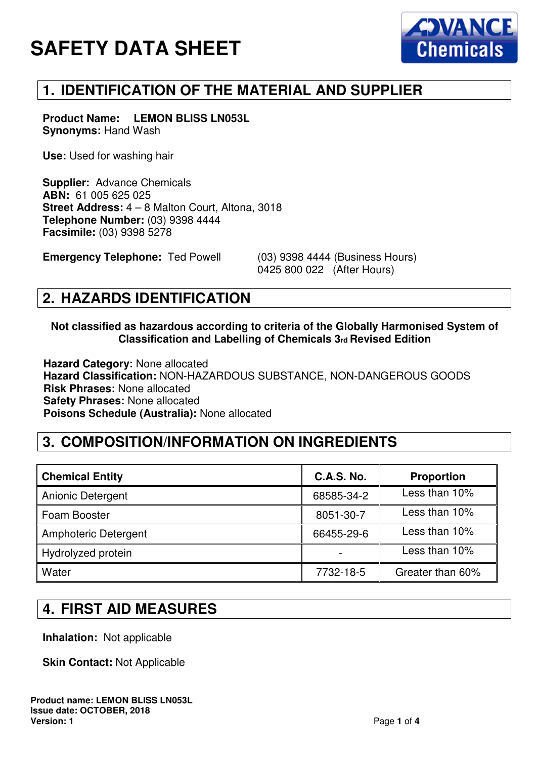# **SAFETY DATA SHEET**



## **1. IDENTIFICATION OF THE MATERIAL AND SUPPLIER**

**Product Name: LEMON BLISS LN053L Synonyms:** Hand Wash

**Use:** Used for washing hair

**Supplier:** Advance Chemicals **ABN:** 61 005 625 025 **Street Address:** 4 – 8 Malton Court, Altona, 3018 **Telephone Number:** (03) 9398 4444 **Facsimile:** (03) 9398 5278

**Emergency Telephone:** Ted Powell (03) 9398 4444 (Business Hours)

0425 800 022 (After Hours)

#### **2. HAZARDS IDENTIFICATION**

#### **Not classified as hazardous according to criteria of the Globally Harmonised System of Classification and Labelling of Chemicals 3rd Revised Edition**

**Hazard Category:** None allocated **Hazard Classification:** NON-HAZARDOUS SUBSTANCE, NON-DANGEROUS GOODS **Risk Phrases:** None allocated **Safety Phrases:** None allocated **Poisons Schedule (Australia):** None allocated

# **3. COMPOSITION/INFORMATION ON INGREDIENTS**

| <b>Chemical Entity</b>   | <b>C.A.S. No.</b> | <b>Proportion</b> |
|--------------------------|-------------------|-------------------|
| <b>Anionic Detergent</b> | 68585-34-2        | Less than 10%     |
| Foam Booster             | 8051-30-7         | Less than 10%     |
| Amphoteric Detergent     | 66455-29-6        | Less than 10%     |
| Hydrolyzed protein       |                   | Less than 10%     |
| Water                    | 7732-18-5         | Greater than 60%  |

### **4. FIRST AID MEASURES**

**Inhalation:** Not applicable

**Skin Contact: Not Applicable**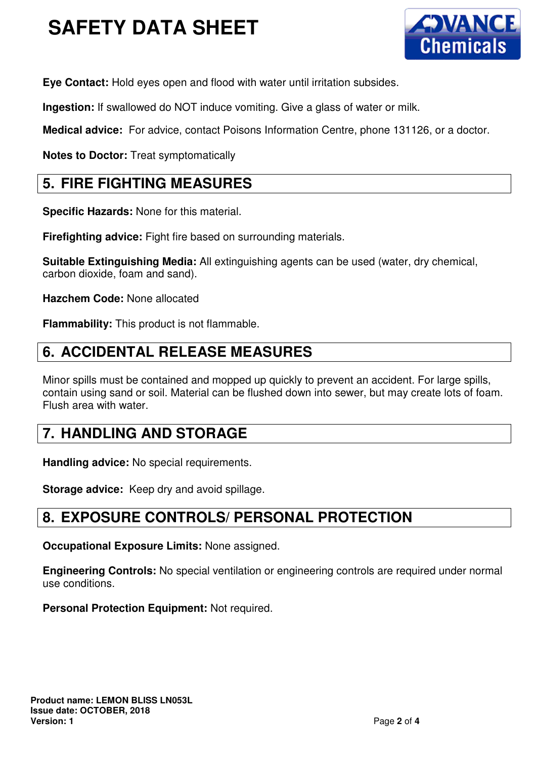# **SAFETY DATA SHEET**



**Eye Contact:** Hold eyes open and flood with water until irritation subsides.

**Ingestion:** If swallowed do NOT induce vomiting. Give a glass of water or milk.

**Medical advice:** For advice, contact Poisons Information Centre, phone 131126, or a doctor.

**Notes to Doctor:** Treat symptomatically

### **5. FIRE FIGHTING MEASURES**

**Specific Hazards:** None for this material.

**Firefighting advice:** Fight fire based on surrounding materials.

**Suitable Extinguishing Media:** All extinguishing agents can be used (water, dry chemical, carbon dioxide, foam and sand).

**Hazchem Code:** None allocated

**Flammability:** This product is not flammable.

## **6. ACCIDENTAL RELEASE MEASURES**

Minor spills must be contained and mopped up quickly to prevent an accident. For large spills, contain using sand or soil. Material can be flushed down into sewer, but may create lots of foam. Flush area with water.

# **7. HANDLING AND STORAGE**

**Handling advice:** No special requirements.

**Storage advice:** Keep dry and avoid spillage.

# **8. EXPOSURE CONTROLS/ PERSONAL PROTECTION**

**Occupational Exposure Limits:** None assigned.

**Engineering Controls:** No special ventilation or engineering controls are required under normal use conditions.

**Personal Protection Equipment: Not required.**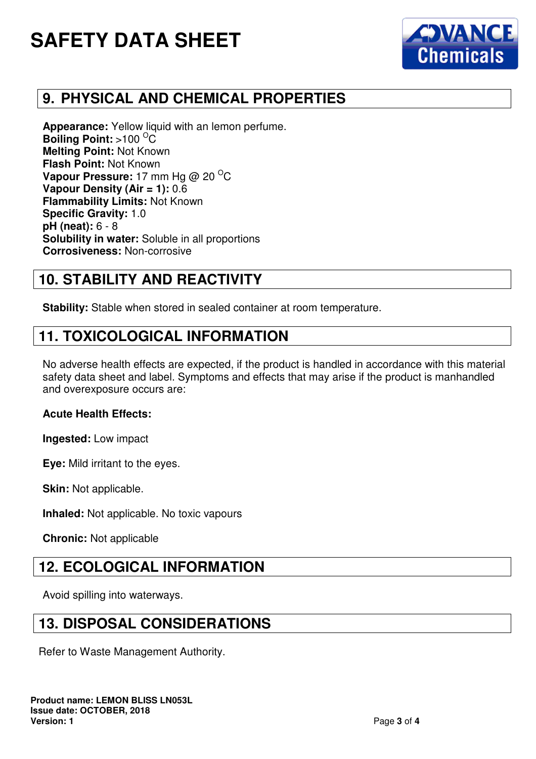# **SAFETY DATA SHEET**



## **9. PHYSICAL AND CHEMICAL PROPERTIES**

**Appearance:** Yellow liquid with an lemon perfume. **Boiling Point:** >100 <sup>O</sup>C **Melting Point:** Not Known **Flash Point:** Not Known **Vapour Pressure:** 17 mm Hg @ 20 <sup>O</sup>C **Vapour Density (Air = 1):** 0.6 **Flammability Limits:** Not Known **Specific Gravity:** 1.0 **pH (neat):** 6 - 8 **Solubility in water:** Soluble in all proportions **Corrosiveness:** Non-corrosive

## **10. STABILITY AND REACTIVITY**

**Stability:** Stable when stored in sealed container at room temperature.

#### **11. TOXICOLOGICAL INFORMATION**

No adverse health effects are expected, if the product is handled in accordance with this material safety data sheet and label. Symptoms and effects that may arise if the product is manhandled and overexposure occurs are:

#### **Acute Health Effects:**

**Ingested:** Low impact

**Eye:** Mild irritant to the eyes.

**Skin: Not applicable.** 

**Inhaled:** Not applicable. No toxic vapours

**Chronic:** Not applicable

#### **12. ECOLOGICAL INFORMATION**

Avoid spilling into waterways.

#### **13. DISPOSAL CONSIDERATIONS**

Refer to Waste Management Authority.